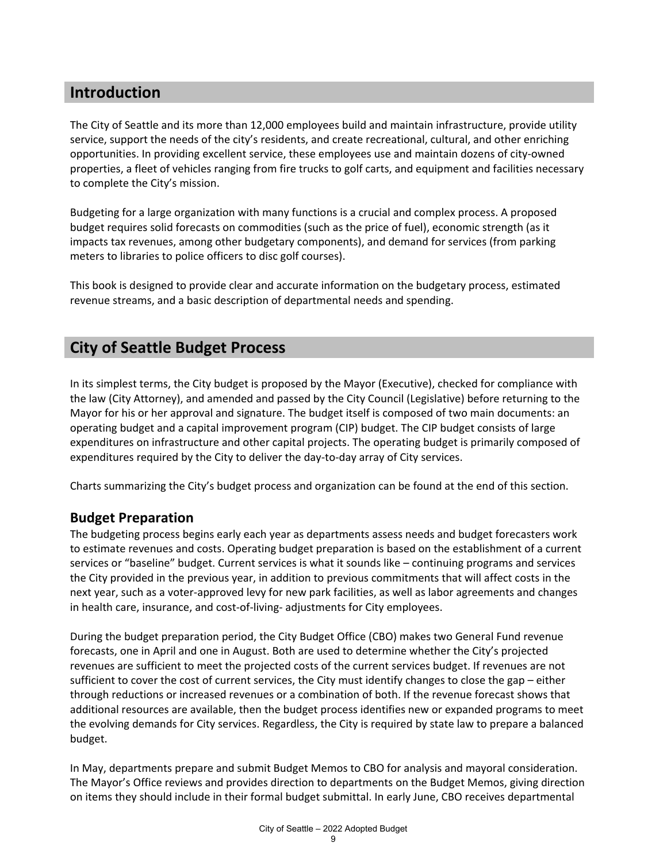## **Introduction**

The City of Seattle and its more than 12,000 employees build and maintain infrastructure, provide utility service, support the needs of the city's residents, and create recreational, cultural, and other enriching opportunities. In providing excellent service, these employees use and maintain dozens of city-owned properties, a fleet of vehicles ranging from fire trucks to golf carts, and equipment and facilities necessary to complete the City's mission.

Budgeting for a large organization with many functions is a crucial and complex process. A proposed budget requires solid forecasts on commodities (such as the price of fuel), economic strength (as it impacts tax revenues, among other budgetary components), and demand for services (from parking meters to libraries to police officers to disc golf courses).

This book is designed to provide clear and accurate information on the budgetary process, estimated revenue streams, and a basic description of departmental needs and spending.

## **City of Seattle Budget Process**

In its simplest terms, the City budget is proposed by the Mayor (Executive), checked for compliance with the law (City Attorney), and amended and passed by the City Council (Legislative) before returning to the Mayor for his or her approval and signature. The budget itself is composed of two main documents: an operating budget and a capital improvement program (CIP) budget. The CIP budget consists of large expenditures on infrastructure and other capital projects. The operating budget is primarily composed of expenditures required by the City to deliver the day-to-day array of City services.

Charts summarizing the City's budget process and organization can be found at the end of this section.

## **Budget Preparation**

The budgeting process begins early each year as departments assess needs and budget forecasters work to estimate revenues and costs. Operating budget preparation is based on the establishment of a current services or "baseline" budget. Current services is what it sounds like – continuing programs and services the City provided in the previous year, in addition to previous commitments that will affect costs in the next year, such as a voter-approved levy for new park facilities, as well as labor agreements and changes in health care, insurance, and cost-of-living- adjustments for City employees.

During the budget preparation period, the City Budget Office (CBO) makes two General Fund revenue forecasts, one in April and one in August. Both are used to determine whether the City's projected revenues are sufficient to meet the projected costs of the current services budget. If revenues are not sufficient to cover the cost of current services, the City must identify changes to close the gap – either through reductions or increased revenues or a combination of both. If the revenue forecast shows that additional resources are available, then the budget process identifies new or expanded programs to meet the evolving demands for City services. Regardless, the City is required by state law to prepare a balanced budget.

In May, departments prepare and submit Budget Memos to CBO for analysis and mayoral consideration. The Mayor's Office reviews and provides direction to departments on the Budget Memos, giving direction on items they should include in their formal budget submittal. In early June, CBO receives departmental